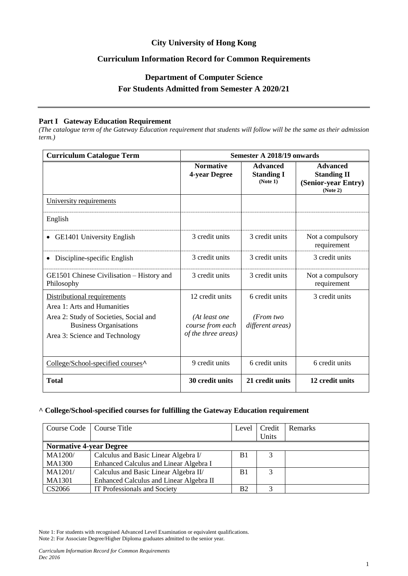## **City University of Hong Kong**

## **Curriculum Information Record for Common Requirements**

# **Department of Computer Science For Students Admitted from Semester A 2020/21**

#### **Part I Gateway Education Requirement**

*(The catalogue term of the Gateway Education requirement that students will follow will be the same as their admission term.)*

| <b>Curriculum Catalogue Term</b>                                                                     | <b>Semester A 2018/19 onwards</b>       |                                                  |                                                                          |  |
|------------------------------------------------------------------------------------------------------|-----------------------------------------|--------------------------------------------------|--------------------------------------------------------------------------|--|
|                                                                                                      | <b>Normative</b><br>4-year Degree       | <b>Advanced</b><br><b>Standing I</b><br>(Note 1) | <b>Advanced</b><br><b>Standing II</b><br>(Senior-year Entry)<br>(Note 2) |  |
| University requirements                                                                              |                                         |                                                  |                                                                          |  |
| English                                                                                              |                                         |                                                  |                                                                          |  |
| <b>GE1401 University English</b>                                                                     | 3 credit units                          | 3 credit units                                   | Not a compulsory<br>requirement                                          |  |
| Discipline-specific English                                                                          | 3 credit units                          | 3 credit units                                   | 3 credit units                                                           |  |
| GE1501 Chinese Civilisation – History and<br>Philosophy                                              | 3 credit units                          | 3 credit units                                   | Not a compulsory<br>requirement                                          |  |
| Distributional requirements<br>Area 1: Arts and Humanities<br>Area 2: Study of Societies, Social and | 12 credit units<br>(At least one        | 6 credit units<br>(From two                      | 3 credit units                                                           |  |
| <b>Business Organisations</b><br>Area 3: Science and Technology                                      | course from each<br>of the three areas) | different areas)                                 |                                                                          |  |
| College/School-specified courses <sup>^</sup>                                                        | 9 credit units                          | 6 credit units                                   | 6 credit units                                                           |  |
| <b>Total</b>                                                                                         | 30 credit units                         | 21 credit units                                  | 12 credit units                                                          |  |

#### **^ College/School-specified courses for fulfilling the Gateway Education requirement**

| Course Code   Course Title     |                                         | Level          | Credit<br>Units | Remarks |
|--------------------------------|-----------------------------------------|----------------|-----------------|---------|
| <b>Normative 4-year Degree</b> |                                         |                |                 |         |
| MA1200/                        | Calculus and Basic Linear Algebra I/    | B <sub>1</sub> | 3               |         |
| <b>MA1300</b>                  | Enhanced Calculus and Linear Algebra I  |                |                 |         |
| MA1201/                        | Calculus and Basic Linear Algebra II/   | B <sub>1</sub> | 3               |         |
| <b>MA1301</b>                  | Enhanced Calculus and Linear Algebra II |                |                 |         |
| CS2066                         | IT Professionals and Society            | <b>B2</b>      | 3               |         |

Note 1: For students with recognised Advanced Level Examination or equivalent qualifications.

Note 2: For Associate Degree/Higher Diploma graduates admitted to the senior year.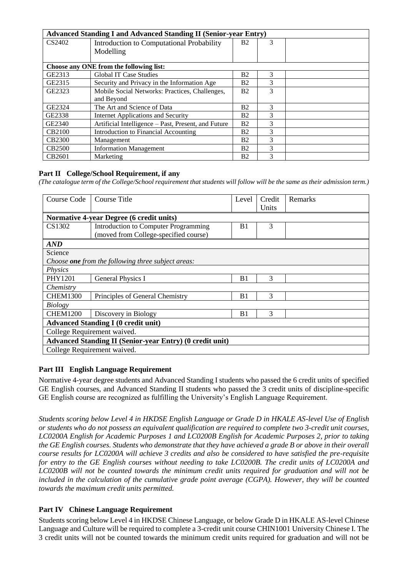| <b>Advanced Standing I and Advanced Standing II (Senior-year Entry)</b> |                                                     |                |   |  |
|-------------------------------------------------------------------------|-----------------------------------------------------|----------------|---|--|
| CS2402                                                                  | Introduction to Computational Probability           | B <sub>2</sub> | 3 |  |
|                                                                         | Modelling                                           |                |   |  |
|                                                                         | Choose any ONE from the following list:             |                |   |  |
| GE2313                                                                  | <b>Global IT Case Studies</b>                       | <b>B2</b>      | 3 |  |
| GE2315                                                                  | Security and Privacy in the Information Age         | Β2             | 3 |  |
|                                                                         |                                                     |                |   |  |
| GE2323                                                                  | Mobile Social Networks: Practices, Challenges,      | B <sub>2</sub> | 3 |  |
|                                                                         | and Beyond                                          |                |   |  |
| GE2324                                                                  | The Art and Science of Data                         | Β2             | 3 |  |
| GE2338                                                                  | Internet Applications and Security                  | <b>B2</b>      | 3 |  |
| GE2340                                                                  | Artificial Intelligence – Past, Present, and Future | B <sub>2</sub> | 3 |  |
| <b>CB2100</b>                                                           | Introduction to Financial Accounting                | Β2             | 3 |  |
| <b>CB2300</b>                                                           | Management                                          | <b>B2</b>      | 3 |  |
| <b>CB2500</b>                                                           | <b>Information Management</b>                       | Β2             | 3 |  |
| CB2601                                                                  | Marketing                                           | Β2             | 3 |  |

### **Part II College/School Requirement, if any**

*(The catalogue term of the College/School requirement that students will follow will be the same as their admission term.)*

| Course Code                                                     | Course Title                                       | Level          | Credit<br>Units | Remarks |
|-----------------------------------------------------------------|----------------------------------------------------|----------------|-----------------|---------|
| <b>Normative 4-year Degree (6 credit units)</b>                 |                                                    |                |                 |         |
| CS1302                                                          | <b>Introduction to Computer Programming</b>        | B <sub>1</sub> | 3               |         |
|                                                                 | (moved from College-specified course)              |                |                 |         |
| <b>AND</b>                                                      |                                                    |                |                 |         |
| Science                                                         |                                                    |                |                 |         |
|                                                                 | Choose one from the following three subject areas: |                |                 |         |
| Physics                                                         |                                                    |                |                 |         |
| PHY1201                                                         | <b>General Physics I</b>                           | B <sub>1</sub> | 3               |         |
| Chemistry                                                       |                                                    |                |                 |         |
| <b>CHEM1300</b>                                                 | Principles of General Chemistry                    | B <sub>1</sub> | 3               |         |
| <b>Biology</b>                                                  |                                                    |                |                 |         |
| <b>CHEM1200</b>                                                 | Discovery in Biology                               | B <sub>1</sub> | 3               |         |
| <b>Advanced Standing I (0 credit unit)</b>                      |                                                    |                |                 |         |
| College Requirement waived.                                     |                                                    |                |                 |         |
| <b>Advanced Standing II (Senior-year Entry) (0 credit unit)</b> |                                                    |                |                 |         |
| College Requirement waived.                                     |                                                    |                |                 |         |

#### **Part III English Language Requirement**

Normative 4-year degree students and Advanced Standing I students who passed the 6 credit units of specified GE English courses, and Advanced Standing II students who passed the 3 credit units of discipline-specific GE English course are recognized as fulfilling the University's English Language Requirement.

*Students scoring below Level 4 in HKDSE English Language or Grade D in HKALE AS-level Use of English or students who do not possess an equivalent qualification are required to complete two 3-credit unit courses, LC0200A English for Academic Purposes 1 and LC0200B English for Academic Purposes 2, prior to taking the GE English courses. Students who demonstrate that they have achieved a grade B or above in their overall course results for LC0200A will achieve 3 credits and also be considered to have satisfied the pre-requisite for entry to the GE English courses without needing to take LC0200B. The credit units of LC0200A and LC0200B will not be counted towards the minimum credit units required for graduation and will not be included in the calculation of the cumulative grade point average (CGPA). However, they will be counted towards the maximum credit units permitted.*

## **Part IV Chinese Language Requirement**

Students scoring below Level 4 in HKDSE Chinese Language, or below Grade D in HKALE AS-level Chinese Language and Culture will be required to complete a 3-credit unit course CHIN1001 University Chinese I. The 3 credit units will not be counted towards the minimum credit units required for graduation and will not be